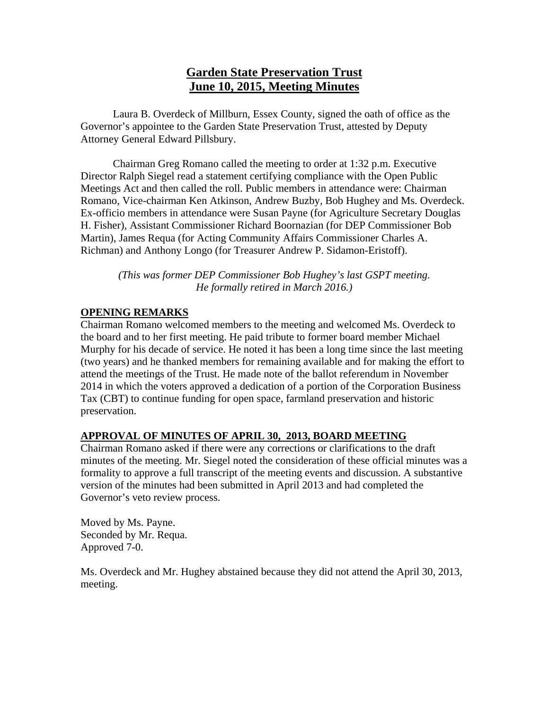# **Garden State Preservation Trust June 10, 2015, Meeting Minutes**

Laura B. Overdeck of Millburn, Essex County, signed the oath of office as the Governor's appointee to the Garden State Preservation Trust, attested by Deputy Attorney General Edward Pillsbury.

Chairman Greg Romano called the meeting to order at 1:32 p.m. Executive Director Ralph Siegel read a statement certifying compliance with the Open Public Meetings Act and then called the roll. Public members in attendance were: Chairman Romano, Vice-chairman Ken Atkinson, Andrew Buzby, Bob Hughey and Ms. Overdeck. Ex-officio members in attendance were Susan Payne (for Agriculture Secretary Douglas H. Fisher), Assistant Commissioner Richard Boornazian (for DEP Commissioner Bob Martin), James Requa (for Acting Community Affairs Commissioner Charles A. Richman) and Anthony Longo (for Treasurer Andrew P. Sidamon-Eristoff).

*(This was former DEP Commissioner Bob Hughey's last GSPT meeting. He formally retired in March 2016.)* 

### **OPENING REMARKS**

Chairman Romano welcomed members to the meeting and welcomed Ms. Overdeck to the board and to her first meeting. He paid tribute to former board member Michael Murphy for his decade of service. He noted it has been a long time since the last meeting (two years) and he thanked members for remaining available and for making the effort to attend the meetings of the Trust. He made note of the ballot referendum in November 2014 in which the voters approved a dedication of a portion of the Corporation Business Tax (CBT) to continue funding for open space, farmland preservation and historic preservation.

# **APPROVAL OF MINUTES OF APRIL 30, 2013, BOARD MEETING**

Chairman Romano asked if there were any corrections or clarifications to the draft minutes of the meeting. Mr. Siegel noted the consideration of these official minutes was a formality to approve a full transcript of the meeting events and discussion. A substantive version of the minutes had been submitted in April 2013 and had completed the Governor's veto review process.

Moved by Ms. Payne. Seconded by Mr. Requa. Approved 7-0.

Ms. Overdeck and Mr. Hughey abstained because they did not attend the April 30, 2013, meeting.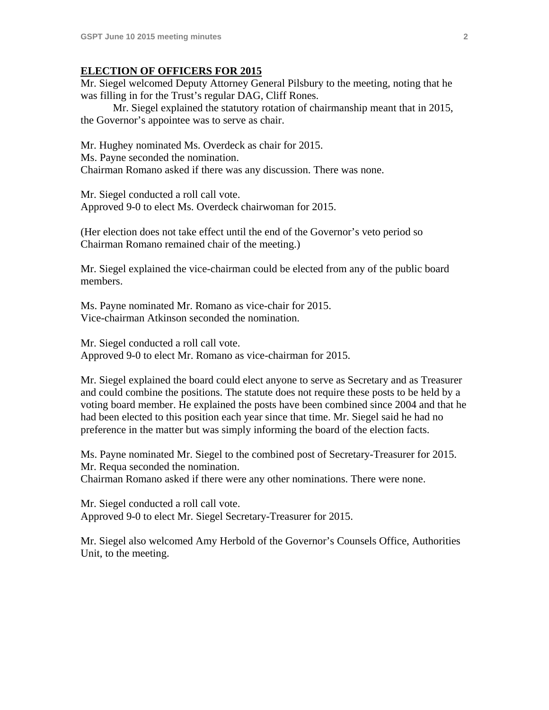#### **ELECTION OF OFFICERS FOR 2015**

Mr. Siegel welcomed Deputy Attorney General Pilsbury to the meeting, noting that he was filling in for the Trust's regular DAG, Cliff Rones.

 Mr. Siegel explained the statutory rotation of chairmanship meant that in 2015, the Governor's appointee was to serve as chair.

Mr. Hughey nominated Ms. Overdeck as chair for 2015. Ms. Payne seconded the nomination. Chairman Romano asked if there was any discussion. There was none.

Mr. Siegel conducted a roll call vote. Approved 9-0 to elect Ms. Overdeck chairwoman for 2015.

(Her election does not take effect until the end of the Governor's veto period so Chairman Romano remained chair of the meeting.)

Mr. Siegel explained the vice-chairman could be elected from any of the public board members.

Ms. Payne nominated Mr. Romano as vice-chair for 2015. Vice-chairman Atkinson seconded the nomination.

Mr. Siegel conducted a roll call vote. Approved 9-0 to elect Mr. Romano as vice-chairman for 2015.

Mr. Siegel explained the board could elect anyone to serve as Secretary and as Treasurer and could combine the positions. The statute does not require these posts to be held by a voting board member. He explained the posts have been combined since 2004 and that he had been elected to this position each year since that time. Mr. Siegel said he had no preference in the matter but was simply informing the board of the election facts.

Ms. Payne nominated Mr. Siegel to the combined post of Secretary-Treasurer for 2015. Mr. Requa seconded the nomination. Chairman Romano asked if there were any other nominations. There were none.

Mr. Siegel conducted a roll call vote. Approved 9-0 to elect Mr. Siegel Secretary-Treasurer for 2015.

Mr. Siegel also welcomed Amy Herbold of the Governor's Counsels Office, Authorities Unit, to the meeting.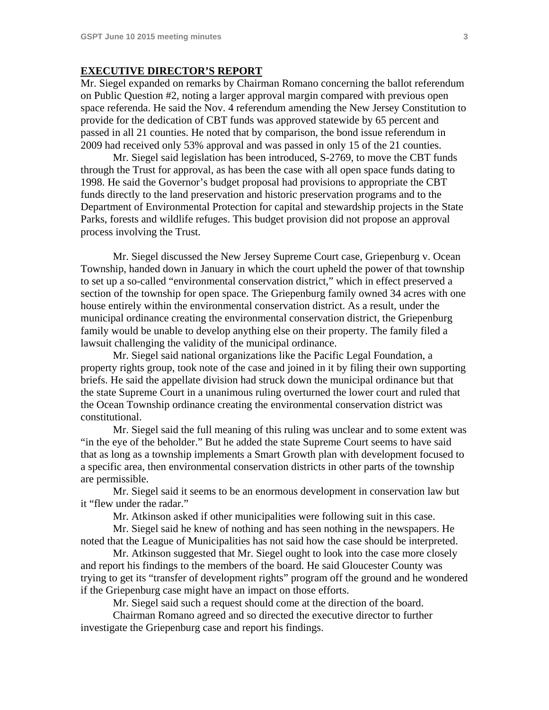#### **EXECUTIVE DIRECTOR'S REPORT**

Mr. Siegel expanded on remarks by Chairman Romano concerning the ballot referendum on Public Question #2, noting a larger approval margin compared with previous open space referenda. He said the Nov. 4 referendum amending the New Jersey Constitution to provide for the dedication of CBT funds was approved statewide by 65 percent and passed in all 21 counties. He noted that by comparison, the bond issue referendum in 2009 had received only 53% approval and was passed in only 15 of the 21 counties.

 Mr. Siegel said legislation has been introduced, S-2769, to move the CBT funds through the Trust for approval, as has been the case with all open space funds dating to 1998. He said the Governor's budget proposal had provisions to appropriate the CBT funds directly to the land preservation and historic preservation programs and to the Department of Environmental Protection for capital and stewardship projects in the State Parks, forests and wildlife refuges. This budget provision did not propose an approval process involving the Trust.

 Mr. Siegel discussed the New Jersey Supreme Court case, Griepenburg v. Ocean Township, handed down in January in which the court upheld the power of that township to set up a so-called "environmental conservation district," which in effect preserved a section of the township for open space. The Griepenburg family owned 34 acres with one house entirely within the environmental conservation district. As a result, under the municipal ordinance creating the environmental conservation district, the Griepenburg family would be unable to develop anything else on their property. The family filed a lawsuit challenging the validity of the municipal ordinance.

 Mr. Siegel said national organizations like the Pacific Legal Foundation, a property rights group, took note of the case and joined in it by filing their own supporting briefs. He said the appellate division had struck down the municipal ordinance but that the state Supreme Court in a unanimous ruling overturned the lower court and ruled that the Ocean Township ordinance creating the environmental conservation district was constitutional.

 Mr. Siegel said the full meaning of this ruling was unclear and to some extent was "in the eye of the beholder." But he added the state Supreme Court seems to have said that as long as a township implements a Smart Growth plan with development focused to a specific area, then environmental conservation districts in other parts of the township are permissible.

 Mr. Siegel said it seems to be an enormous development in conservation law but it "flew under the radar."

Mr. Atkinson asked if other municipalities were following suit in this case.

 Mr. Siegel said he knew of nothing and has seen nothing in the newspapers. He noted that the League of Municipalities has not said how the case should be interpreted.

 Mr. Atkinson suggested that Mr. Siegel ought to look into the case more closely and report his findings to the members of the board. He said Gloucester County was trying to get its "transfer of development rights" program off the ground and he wondered if the Griepenburg case might have an impact on those efforts.

Mr. Siegel said such a request should come at the direction of the board.

 Chairman Romano agreed and so directed the executive director to further investigate the Griepenburg case and report his findings.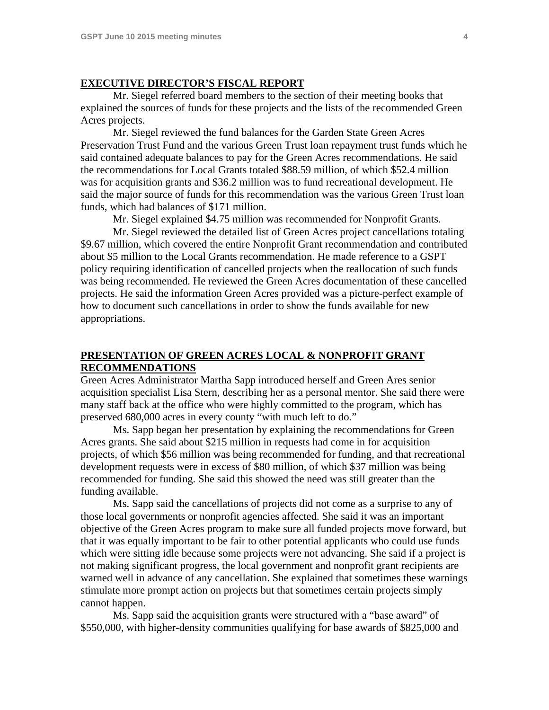#### **EXECUTIVE DIRECTOR'S FISCAL REPORT**

 Mr. Siegel referred board members to the section of their meeting books that explained the sources of funds for these projects and the lists of the recommended Green Acres projects.

 Mr. Siegel reviewed the fund balances for the Garden State Green Acres Preservation Trust Fund and the various Green Trust loan repayment trust funds which he said contained adequate balances to pay for the Green Acres recommendations. He said the recommendations for Local Grants totaled \$88.59 million, of which \$52.4 million was for acquisition grants and \$36.2 million was to fund recreational development. He said the major source of funds for this recommendation was the various Green Trust loan funds, which had balances of \$171 million.

Mr. Siegel explained \$4.75 million was recommended for Nonprofit Grants.

 Mr. Siegel reviewed the detailed list of Green Acres project cancellations totaling \$9.67 million, which covered the entire Nonprofit Grant recommendation and contributed about \$5 million to the Local Grants recommendation. He made reference to a GSPT policy requiring identification of cancelled projects when the reallocation of such funds was being recommended. He reviewed the Green Acres documentation of these cancelled projects. He said the information Green Acres provided was a picture-perfect example of how to document such cancellations in order to show the funds available for new appropriations.

#### **PRESENTATION OF GREEN ACRES LOCAL & NONPROFIT GRANT RECOMMENDATIONS**

Green Acres Administrator Martha Sapp introduced herself and Green Ares senior acquisition specialist Lisa Stern, describing her as a personal mentor. She said there were many staff back at the office who were highly committed to the program, which has preserved 680,000 acres in every county "with much left to do."

 Ms. Sapp began her presentation by explaining the recommendations for Green Acres grants. She said about \$215 million in requests had come in for acquisition projects, of which \$56 million was being recommended for funding, and that recreational development requests were in excess of \$80 million, of which \$37 million was being recommended for funding. She said this showed the need was still greater than the funding available.

 Ms. Sapp said the cancellations of projects did not come as a surprise to any of those local governments or nonprofit agencies affected. She said it was an important objective of the Green Acres program to make sure all funded projects move forward, but that it was equally important to be fair to other potential applicants who could use funds which were sitting idle because some projects were not advancing. She said if a project is not making significant progress, the local government and nonprofit grant recipients are warned well in advance of any cancellation. She explained that sometimes these warnings stimulate more prompt action on projects but that sometimes certain projects simply cannot happen.

 Ms. Sapp said the acquisition grants were structured with a "base award" of \$550,000, with higher-density communities qualifying for base awards of \$825,000 and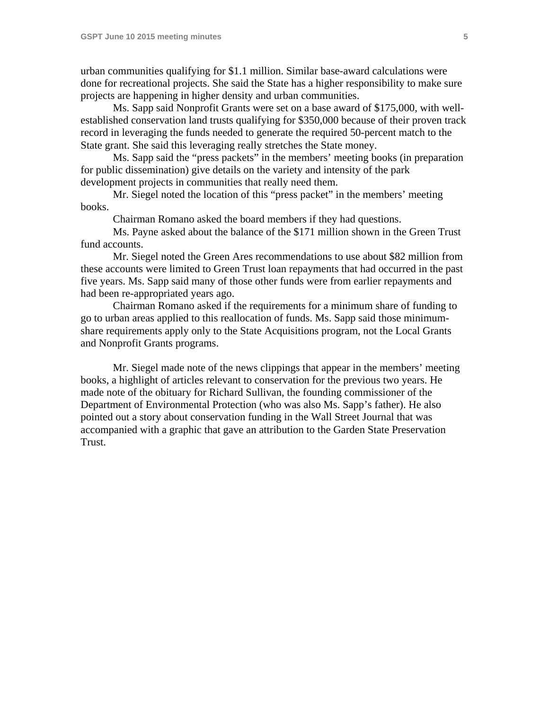urban communities qualifying for \$1.1 million. Similar base-award calculations were done for recreational projects. She said the State has a higher responsibility to make sure projects are happening in higher density and urban communities.

 Ms. Sapp said Nonprofit Grants were set on a base award of \$175,000, with wellestablished conservation land trusts qualifying for \$350,000 because of their proven track record in leveraging the funds needed to generate the required 50-percent match to the State grant. She said this leveraging really stretches the State money.

 Ms. Sapp said the "press packets" in the members' meeting books (in preparation for public dissemination) give details on the variety and intensity of the park development projects in communities that really need them.

 Mr. Siegel noted the location of this "press packet" in the members' meeting books.

Chairman Romano asked the board members if they had questions.

 Ms. Payne asked about the balance of the \$171 million shown in the Green Trust fund accounts.

 Mr. Siegel noted the Green Ares recommendations to use about \$82 million from these accounts were limited to Green Trust loan repayments that had occurred in the past five years. Ms. Sapp said many of those other funds were from earlier repayments and had been re-appropriated years ago.

 Chairman Romano asked if the requirements for a minimum share of funding to go to urban areas applied to this reallocation of funds. Ms. Sapp said those minimumshare requirements apply only to the State Acquisitions program, not the Local Grants and Nonprofit Grants programs.

 Mr. Siegel made note of the news clippings that appear in the members' meeting books, a highlight of articles relevant to conservation for the previous two years. He made note of the obituary for Richard Sullivan, the founding commissioner of the Department of Environmental Protection (who was also Ms. Sapp's father). He also pointed out a story about conservation funding in the Wall Street Journal that was accompanied with a graphic that gave an attribution to the Garden State Preservation Trust.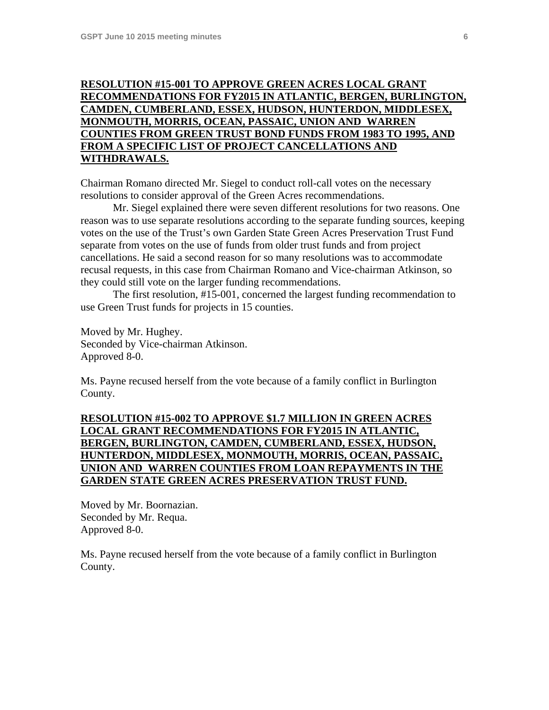# **RESOLUTION #15-001 TO APPROVE GREEN ACRES LOCAL GRANT RECOMMENDATIONS FOR FY2015 IN ATLANTIC, BERGEN, BURLINGTON, CAMDEN, CUMBERLAND, ESSEX, HUDSON, HUNTERDON, MIDDLESEX, MONMOUTH, MORRIS, OCEAN, PASSAIC, UNION AND WARREN COUNTIES FROM GREEN TRUST BOND FUNDS FROM 1983 TO 1995, AND FROM A SPECIFIC LIST OF PROJECT CANCELLATIONS AND WITHDRAWALS.**

Chairman Romano directed Mr. Siegel to conduct roll-call votes on the necessary resolutions to consider approval of the Green Acres recommendations.

 Mr. Siegel explained there were seven different resolutions for two reasons. One reason was to use separate resolutions according to the separate funding sources, keeping votes on the use of the Trust's own Garden State Green Acres Preservation Trust Fund separate from votes on the use of funds from older trust funds and from project cancellations. He said a second reason for so many resolutions was to accommodate recusal requests, in this case from Chairman Romano and Vice-chairman Atkinson, so they could still vote on the larger funding recommendations.

 The first resolution, #15-001, concerned the largest funding recommendation to use Green Trust funds for projects in 15 counties.

Moved by Mr. Hughey. Seconded by Vice-chairman Atkinson. Approved 8-0.

Ms. Payne recused herself from the vote because of a family conflict in Burlington County.

### **RESOLUTION #15-002 TO APPROVE \$1.7 MILLION IN GREEN ACRES LOCAL GRANT RECOMMENDATIONS FOR FY2015 IN ATLANTIC, BERGEN, BURLINGTON, CAMDEN, CUMBERLAND, ESSEX, HUDSON, HUNTERDON, MIDDLESEX, MONMOUTH, MORRIS, OCEAN, PASSAIC, UNION AND WARREN COUNTIES FROM LOAN REPAYMENTS IN THE GARDEN STATE GREEN ACRES PRESERVATION TRUST FUND.**

Moved by Mr. Boornazian. Seconded by Mr. Requa. Approved 8-0.

Ms. Payne recused herself from the vote because of a family conflict in Burlington County.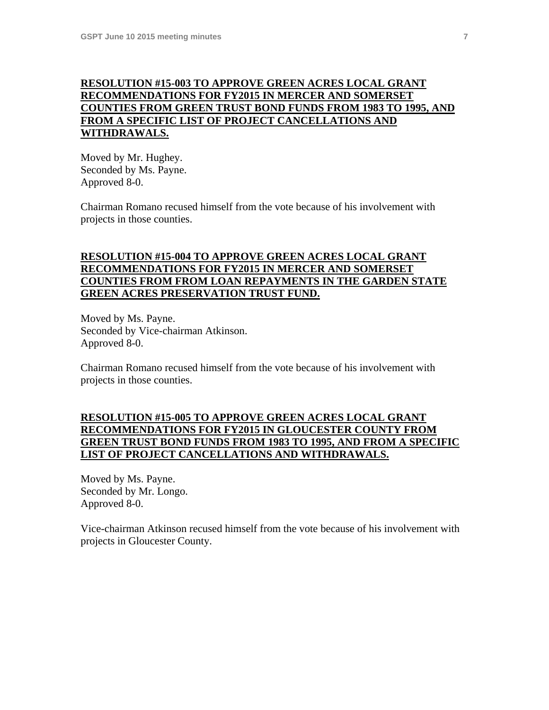### **RESOLUTION #15-003 TO APPROVE GREEN ACRES LOCAL GRANT RECOMMENDATIONS FOR FY2015 IN MERCER AND SOMERSET COUNTIES FROM GREEN TRUST BOND FUNDS FROM 1983 TO 1995, AND FROM A SPECIFIC LIST OF PROJECT CANCELLATIONS AND WITHDRAWALS.**

Moved by Mr. Hughey. Seconded by Ms. Payne. Approved 8-0.

Chairman Romano recused himself from the vote because of his involvement with projects in those counties.

## **RESOLUTION #15-004 TO APPROVE GREEN ACRES LOCAL GRANT RECOMMENDATIONS FOR FY2015 IN MERCER AND SOMERSET COUNTIES FROM FROM LOAN REPAYMENTS IN THE GARDEN STATE GREEN ACRES PRESERVATION TRUST FUND.**

Moved by Ms. Payne. Seconded by Vice-chairman Atkinson. Approved 8-0.

Chairman Romano recused himself from the vote because of his involvement with projects in those counties.

### **RESOLUTION #15-005 TO APPROVE GREEN ACRES LOCAL GRANT RECOMMENDATIONS FOR FY2015 IN GLOUCESTER COUNTY FROM GREEN TRUST BOND FUNDS FROM 1983 TO 1995, AND FROM A SPECIFIC LIST OF PROJECT CANCELLATIONS AND WITHDRAWALS.**

Moved by Ms. Payne. Seconded by Mr. Longo. Approved 8-0.

Vice-chairman Atkinson recused himself from the vote because of his involvement with projects in Gloucester County.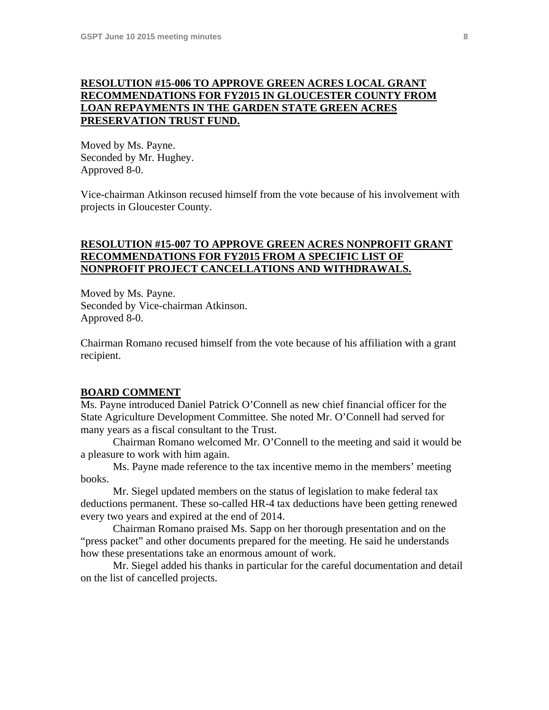#### **RESOLUTION #15-006 TO APPROVE GREEN ACRES LOCAL GRANT RECOMMENDATIONS FOR FY2015 IN GLOUCESTER COUNTY FROM LOAN REPAYMENTS IN THE GARDEN STATE GREEN ACRES PRESERVATION TRUST FUND.**

Moved by Ms. Payne. Seconded by Mr. Hughey. Approved 8-0.

Vice-chairman Atkinson recused himself from the vote because of his involvement with projects in Gloucester County.

### **RESOLUTION #15-007 TO APPROVE GREEN ACRES NONPROFIT GRANT RECOMMENDATIONS FOR FY2015 FROM A SPECIFIC LIST OF NONPROFIT PROJECT CANCELLATIONS AND WITHDRAWALS.**

Moved by Ms. Payne. Seconded by Vice-chairman Atkinson. Approved 8-0.

Chairman Romano recused himself from the vote because of his affiliation with a grant recipient.

#### **BOARD COMMENT**

Ms. Payne introduced Daniel Patrick O'Connell as new chief financial officer for the State Agriculture Development Committee. She noted Mr. O'Connell had served for many years as a fiscal consultant to the Trust.

 Chairman Romano welcomed Mr. O'Connell to the meeting and said it would be a pleasure to work with him again.

 Ms. Payne made reference to the tax incentive memo in the members' meeting books.

 Mr. Siegel updated members on the status of legislation to make federal tax deductions permanent. These so-called HR-4 tax deductions have been getting renewed every two years and expired at the end of 2014.

 Chairman Romano praised Ms. Sapp on her thorough presentation and on the "press packet" and other documents prepared for the meeting. He said he understands how these presentations take an enormous amount of work.

 Mr. Siegel added his thanks in particular for the careful documentation and detail on the list of cancelled projects.